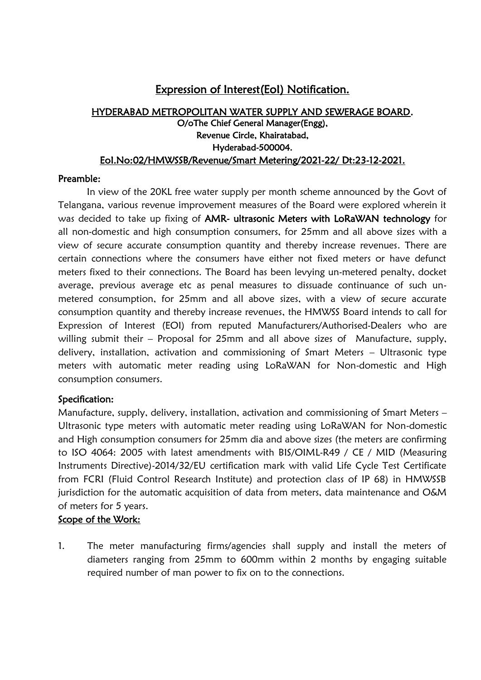# Expression of Interest(EoI) Notification.

## HYDERABAD METROPOLITAN WATER SUPPLY AND SEWERAGE BOARD. O/oThe Chief General Manager(Engg), Revenue Circle, Khairatabad, Hyderabad-500004. EoI.No:02/HMWSSB/Revenue/Smart Metering/2021-22/ Dt:23-12-2021.

#### Preamble:

In view of the 20KL free water supply per month scheme announced by the Govt of Telangana, various revenue improvement measures of the Board were explored wherein it was decided to take up fixing of AMR- ultrasonic Meters with LoRaWAN technology for all non-domestic and high consumption consumers, for 25mm and all above sizes with a view of secure accurate consumption quantity and thereby increase revenues. There are certain connections where the consumers have either not fixed meters or have defunct meters fixed to their connections. The Board has been levying un-metered penalty, docket average, previous average etc as penal measures to dissuade continuance of such unmetered consumption, for 25mm and all above sizes, with a view of secure accurate consumption quantity and thereby increase revenues, the HMWSS Board intends to call for Expression of Interest (EOI) from reputed Manufacturers/Authorised-Dealers who are willing submit their – Proposal for 25mm and all above sizes of Manufacture, supply, delivery, installation, activation and commissioning of Smart Meters – Ultrasonic type meters with automatic meter reading using LoRaWAN for Non-domestic and High consumption consumers.

### Specification:

Manufacture, supply, delivery, installation, activation and commissioning of Smart Meters – Ultrasonic type meters with automatic meter reading using LoRaWAN for Non-domestic and High consumption consumers for 25mm dia and above sizes (the meters are confirming to ISO 4064: 2005 with latest amendments with BIS/OIML-R49 / CE / MID (Measuring Instruments Directive)-2014/32/EU certification mark with valid Life Cycle Test Certificate from FCRI (Fluid Control Research Institute) and protection class of IP 68) in HMWSSB jurisdiction for the automatic acquisition of data from meters, data maintenance and O&M of meters for 5 years.

## Scope of the Work:

1. The meter manufacturing firms/agencies shall supply and install the meters of diameters ranging from 25mm to 600mm within 2 months by engaging suitable required number of man power to fix on to the connections.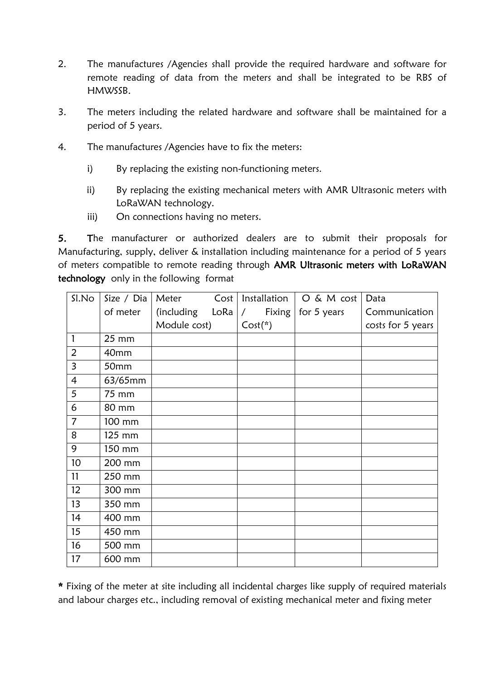- 2. The manufactures /Agencies shall provide the required hardware and software for remote reading of data from the meters and shall be integrated to be RBS of HMWSSB.
- 3. The meters including the related hardware and software shall be maintained for a period of 5 years.
- 4. The manufactures /Agencies have to fix the meters:
	- i) By replacing the existing non-functioning meters.
	- ii) By replacing the existing mechanical meters with AMR Ultrasonic meters with LoRaWAN technology.
	- iii) On connections having no meters.

5. The manufacturer or authorized dealers are to submit their proposals for Manufacturing, supply, deliver & installation including maintenance for a period of 5 years of meters compatible to remote reading through AMR Ultrasonic meters with LoRaWAN technology only in the following format

| Sl.No          | Size / Dia   | Meter        | Cost | Installation         | $O & M \cot$ | Data              |
|----------------|--------------|--------------|------|----------------------|--------------|-------------------|
|                | of meter     | (including   | LoRa | Fixing<br>$\sqrt{2}$ | for 5 years  | Communication     |
|                |              | Module cost) |      | $Cost(*)$            |              | costs for 5 years |
| 1              | 25 mm        |              |      |                      |              |                   |
| $\overline{2}$ | 40mm         |              |      |                      |              |                   |
| $\overline{3}$ | 50mm         |              |      |                      |              |                   |
| $\overline{4}$ | 63/65mm      |              |      |                      |              |                   |
| 5              | 75 mm        |              |      |                      |              |                   |
| 6              | <b>80 mm</b> |              |      |                      |              |                   |
| $\overline{7}$ | 100 mm       |              |      |                      |              |                   |
| 8              | 125 mm       |              |      |                      |              |                   |
| 9              | 150 mm       |              |      |                      |              |                   |
| 10             | 200 mm       |              |      |                      |              |                   |
| 11             | 250 mm       |              |      |                      |              |                   |
| 12             | 300 mm       |              |      |                      |              |                   |
| 13             | 350 mm       |              |      |                      |              |                   |
| 14             | 400 mm       |              |      |                      |              |                   |
| 15             | 450 mm       |              |      |                      |              |                   |
| 16             | 500 mm       |              |      |                      |              |                   |
| 17             | 600 mm       |              |      |                      |              |                   |

\* Fixing of the meter at site including all incidental charges like supply of required materials and labour charges etc., including removal of existing mechanical meter and fixing meter